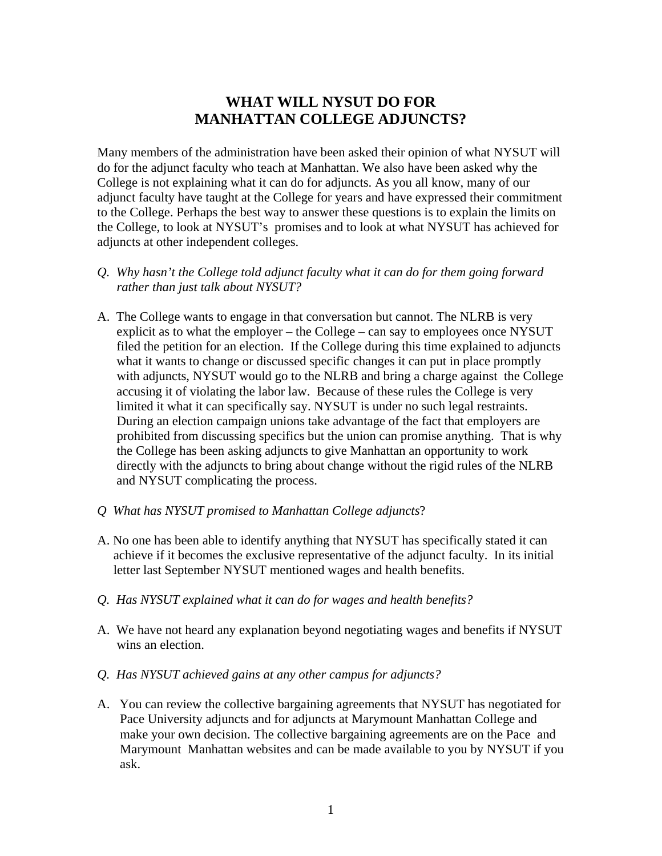# **WHAT WILL NYSUT DO FOR MANHATTAN COLLEGE ADJUNCTS?**

Many members of the administration have been asked their opinion of what NYSUT will do for the adjunct faculty who teach at Manhattan. We also have been asked why the College is not explaining what it can do for adjuncts. As you all know, many of our adjunct faculty have taught at the College for years and have expressed their commitment to the College. Perhaps the best way to answer these questions is to explain the limits on the College, to look at NYSUT's promises and to look at what NYSUT has achieved for adjuncts at other independent colleges.

- *Q. Why hasn't the College told adjunct faculty what it can do for them going forward rather than just talk about NYSUT?*
- A. The College wants to engage in that conversation but cannot. The NLRB is very explicit as to what the employer – the College – can say to employees once NYSUT filed the petition for an election. If the College during this time explained to adjuncts what it wants to change or discussed specific changes it can put in place promptly with adjuncts, NYSUT would go to the NLRB and bring a charge against the College accusing it of violating the labor law. Because of these rules the College is very limited it what it can specifically say. NYSUT is under no such legal restraints. During an election campaign unions take advantage of the fact that employers are prohibited from discussing specifics but the union can promise anything. That is why the College has been asking adjuncts to give Manhattan an opportunity to work directly with the adjuncts to bring about change without the rigid rules of the NLRB and NYSUT complicating the process.
- *Q What has NYSUT promised to Manhattan College adjuncts*?
- A. No one has been able to identify anything that NYSUT has specifically stated it can achieve if it becomes the exclusive representative of the adjunct faculty. In its initial letter last September NYSUT mentioned wages and health benefits.
- *Q. Has NYSUT explained what it can do for wages and health benefits?*
- A. We have not heard any explanation beyond negotiating wages and benefits if NYSUT wins an election.
- *Q. Has NYSUT achieved gains at any other campus for adjuncts?*
- A. You can review the collective bargaining agreements that NYSUT has negotiated for Pace University adjuncts and for adjuncts at Marymount Manhattan College and make your own decision. The collective bargaining agreements are on the Pace and Marymount Manhattan websites and can be made available to you by NYSUT if you ask.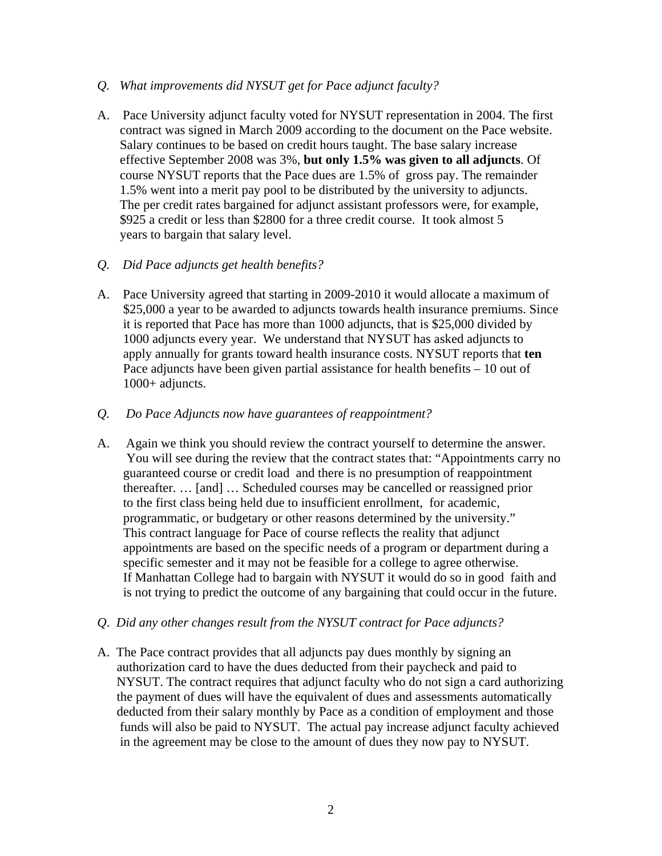#### *Q. What improvements did NYSUT get for Pace adjunct faculty?*

A. Pace University adjunct faculty voted for NYSUT representation in 2004. The first contract was signed in March 2009 according to the document on the Pace website. Salary continues to be based on credit hours taught. The base salary increase effective September 2008 was 3%, **but only 1.5% was given to all adjuncts**. Of course NYSUT reports that the Pace dues are 1.5% of gross pay. The remainder 1.5% went into a merit pay pool to be distributed by the university to adjuncts. The per credit rates bargained for adjunct assistant professors were, for example, \$925 a credit or less than \$2800 for a three credit course. It took almost 5 years to bargain that salary level.

## *Q. Did Pace adjuncts get health benefits?*

A. Pace University agreed that starting in 2009-2010 it would allocate a maximum of \$25,000 a year to be awarded to adjuncts towards health insurance premiums. Since it is reported that Pace has more than 1000 adjuncts, that is \$25,000 divided by 1000 adjuncts every year. We understand that NYSUT has asked adjuncts to apply annually for grants toward health insurance costs. NYSUT reports that **ten**  Pace adjuncts have been given partial assistance for health benefits – 10 out of 1000+ adjuncts.

## *Q. Do Pace Adjuncts now have guarantees of reappointment?*

- A. Again we think you should review the contract yourself to determine the answer. You will see during the review that the contract states that: "Appointments carry no guaranteed course or credit load and there is no presumption of reappointment thereafter. … [and] … Scheduled courses may be cancelled or reassigned prior to the first class being held due to insufficient enrollment, for academic, programmatic, or budgetary or other reasons determined by the university." This contract language for Pace of course reflects the reality that adjunct appointments are based on the specific needs of a program or department during a specific semester and it may not be feasible for a college to agree otherwise. If Manhattan College had to bargain with NYSUT it would do so in good faith and is not trying to predict the outcome of any bargaining that could occur in the future.
- *Q*. *Did any other changes result from the NYSUT contract for Pace adjuncts?*
- A. The Pace contract provides that all adjuncts pay dues monthly by signing an authorization card to have the dues deducted from their paycheck and paid to NYSUT. The contract requires that adjunct faculty who do not sign a card authorizing the payment of dues will have the equivalent of dues and assessments automatically deducted from their salary monthly by Pace as a condition of employment and those funds will also be paid to NYSUT. The actual pay increase adjunct faculty achieved in the agreement may be close to the amount of dues they now pay to NYSUT.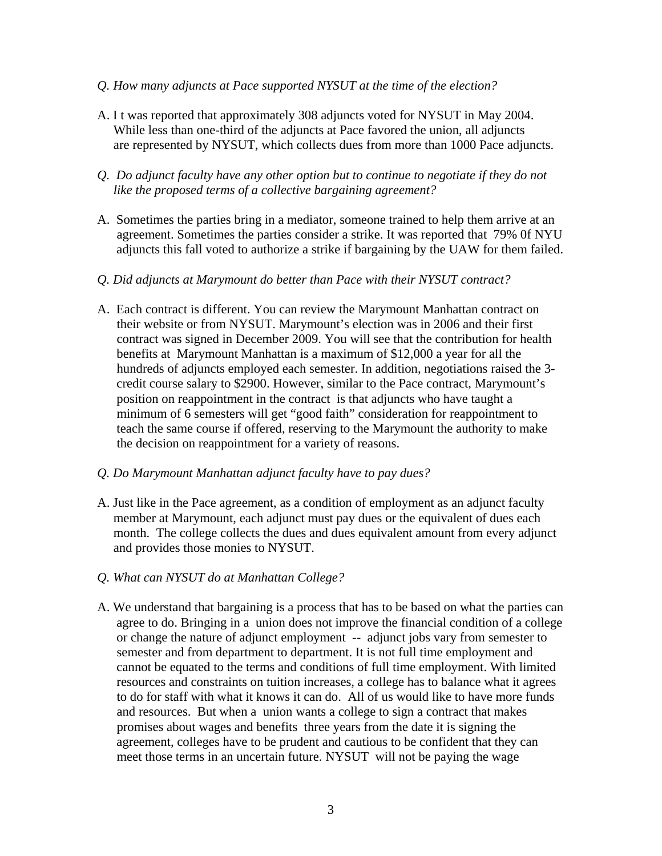- *Q. How many adjuncts at Pace supported NYSUT at the time of the election?*
- A. I t was reported that approximately 308 adjuncts voted for NYSUT in May 2004. While less than one-third of the adjuncts at Pace favored the union, all adjuncts are represented by NYSUT, which collects dues from more than 1000 Pace adjuncts.
- *Q. Do adjunct faculty have any other option but to continue to negotiate if they do not like the proposed terms of a collective bargaining agreement?*
- A. Sometimes the parties bring in a mediator, someone trained to help them arrive at an agreement. Sometimes the parties consider a strike. It was reported that 79% 0f NYU adjuncts this fall voted to authorize a strike if bargaining by the UAW for them failed.
- *Q. Did adjuncts at Marymount do better than Pace with their NYSUT contract?*
- A. Each contract is different. You can review the Marymount Manhattan contract on their website or from NYSUT. Marymount's election was in 2006 and their first contract was signed in December 2009. You will see that the contribution for health benefits at Marymount Manhattan is a maximum of \$12,000 a year for all the hundreds of adjuncts employed each semester. In addition, negotiations raised the 3 credit course salary to \$2900. However, similar to the Pace contract, Marymount's position on reappointment in the contract is that adjuncts who have taught a minimum of 6 semesters will get "good faith" consideration for reappointment to teach the same course if offered, reserving to the Marymount the authority to make the decision on reappointment for a variety of reasons.
- *Q. Do Marymount Manhattan adjunct faculty have to pay dues?*
- A. Just like in the Pace agreement, as a condition of employment as an adjunct faculty member at Marymount, each adjunct must pay dues or the equivalent of dues each month. The college collects the dues and dues equivalent amount from every adjunct and provides those monies to NYSUT.
- *Q. What can NYSUT do at Manhattan College?*
- A. We understand that bargaining is a process that has to be based on what the parties can agree to do. Bringing in a union does not improve the financial condition of a college or change the nature of adjunct employment -- adjunct jobs vary from semester to semester and from department to department. It is not full time employment and cannot be equated to the terms and conditions of full time employment. With limited resources and constraints on tuition increases, a college has to balance what it agrees to do for staff with what it knows it can do. All of us would like to have more funds and resources. But when a union wants a college to sign a contract that makes promises about wages and benefits three years from the date it is signing the agreement, colleges have to be prudent and cautious to be confident that they can meet those terms in an uncertain future. NYSUT will not be paying the wage